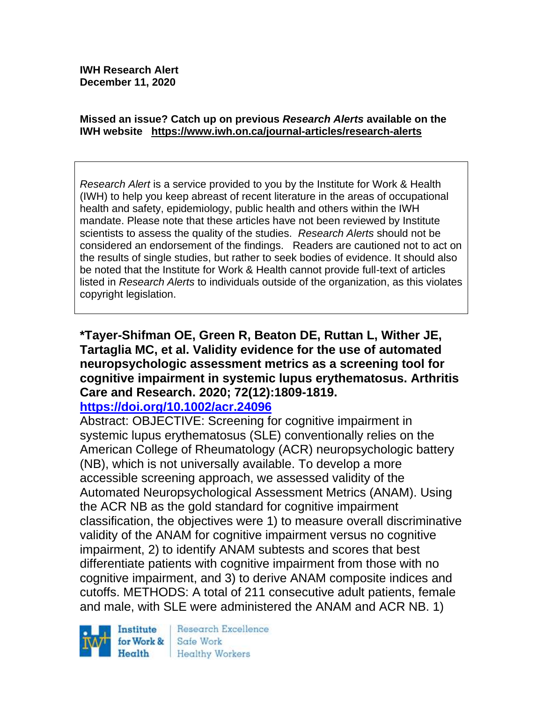**IWH Research Alert December 11, 2020**

#### **Missed an issue? Catch up on previous** *Research Alerts* **available on the [IWH website](http://www.iwh.on.ca/research-alerts) <https://www.iwh.on.ca/journal-articles/research-alerts>**

*Research Alert* is a service provided to you by the Institute for Work & Health (IWH) to help you keep abreast of recent literature in the areas of occupational health and safety, epidemiology, public health and others within the IWH mandate. Please note that these articles have not been reviewed by Institute scientists to assess the quality of the studies. *Research Alerts* should not be considered an endorsement of the findings. Readers are cautioned not to act on the results of single studies, but rather to seek bodies of evidence. It should also be noted that the Institute for Work & Health cannot provide full-text of articles listed in *Research Alerts* to individuals outside of the organization, as this violates copyright legislation.

# **\*Tayer-Shifman OE, Green R, Beaton DE, Ruttan L, Wither JE, Tartaglia MC, et al. Validity evidence for the use of automated neuropsychologic assessment metrics as a screening tool for cognitive impairment in systemic lupus erythematosus. Arthritis Care and Research. 2020; 72(12):1809-1819.**

### **<https://doi.org/10.1002/acr.24096>**

Abstract: OBJECTIVE: Screening for cognitive impairment in systemic lupus erythematosus (SLE) conventionally relies on the American College of Rheumatology (ACR) neuropsychologic battery (NB), which is not universally available. To develop a more accessible screening approach, we assessed validity of the Automated Neuropsychological Assessment Metrics (ANAM). Using the ACR NB as the gold standard for cognitive impairment classification, the objectives were 1) to measure overall discriminative validity of the ANAM for cognitive impairment versus no cognitive impairment, 2) to identify ANAM subtests and scores that best differentiate patients with cognitive impairment from those with no cognitive impairment, and 3) to derive ANAM composite indices and cutoffs. METHODS: A total of 211 consecutive adult patients, female and male, with SLE were administered the ANAM and ACR NB. 1)



Research Excellence Safe Work Healthy Workers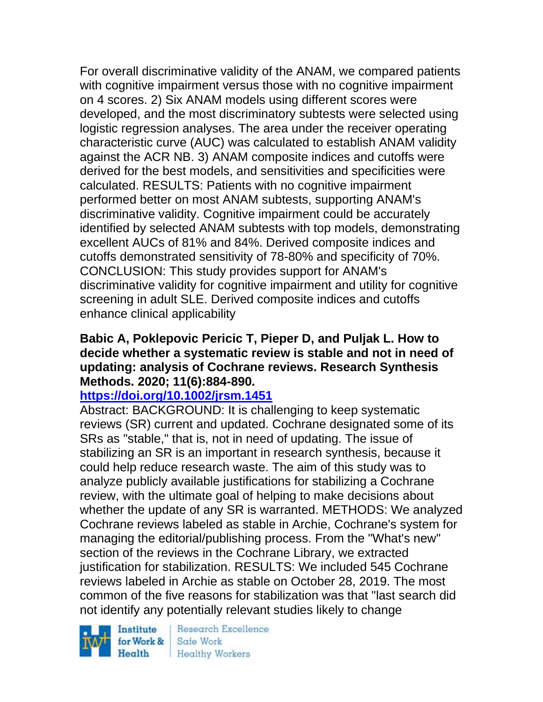For overall discriminative validity of the ANAM, we compared patients with cognitive impairment versus those with no cognitive impairment on 4 scores. 2) Six ANAM models using different scores were developed, and the most discriminatory subtests were selected using logistic regression analyses. The area under the receiver operating characteristic curve (AUC) was calculated to establish ANAM validity against the ACR NB. 3) ANAM composite indices and cutoffs were derived for the best models, and sensitivities and specificities were calculated. RESULTS: Patients with no cognitive impairment performed better on most ANAM subtests, supporting ANAM's discriminative validity. Cognitive impairment could be accurately identified by selected ANAM subtests with top models, demonstrating excellent AUCs of 81% and 84%. Derived composite indices and cutoffs demonstrated sensitivity of 78-80% and specificity of 70%. CONCLUSION: This study provides support for ANAM's discriminative validity for cognitive impairment and utility for cognitive screening in adult SLE. Derived composite indices and cutoffs enhance clinical applicability

#### **Babic A, Poklepovic Pericic T, Pieper D, and Puljak L. How to decide whether a systematic review is stable and not in need of updating: analysis of Cochrane reviews. Research Synthesis Methods. 2020; 11(6):884-890.**

### **<https://doi.org/10.1002/jrsm.1451>**

Abstract: BACKGROUND: It is challenging to keep systematic reviews (SR) current and updated. Cochrane designated some of its SRs as "stable," that is, not in need of updating. The issue of stabilizing an SR is an important in research synthesis, because it could help reduce research waste. The aim of this study was to analyze publicly available justifications for stabilizing a Cochrane review, with the ultimate goal of helping to make decisions about whether the update of any SR is warranted. METHODS: We analyzed Cochrane reviews labeled as stable in Archie, Cochrane's system for managing the editorial/publishing process. From the "What's new" section of the reviews in the Cochrane Library, we extracted justification for stabilization. RESULTS: We included 545 Cochrane reviews labeled in Archie as stable on October 28, 2019. The most common of the five reasons for stabilization was that "last search did not identify any potentially relevant studies likely to change

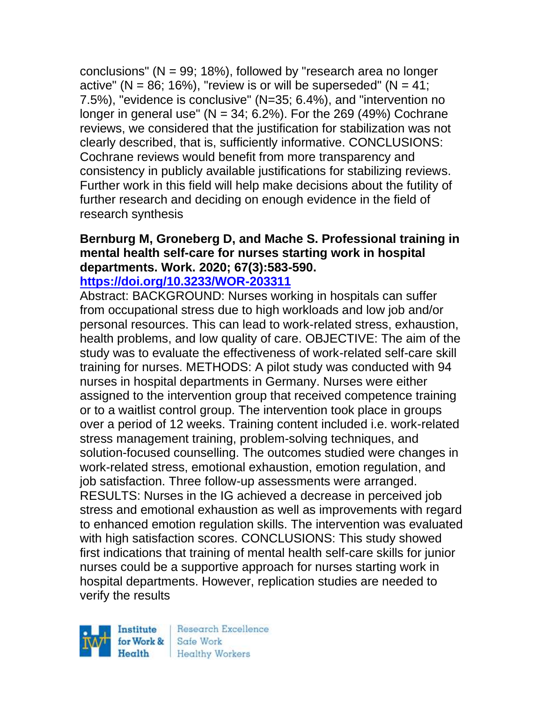conclusions" ( $N = 99$ ; 18%), followed by "research area no longer active" ( $N = 86$ ; 16%), "review is or will be superseded" ( $N = 41$ ; 7.5%), "evidence is conclusive" (N=35; 6.4%), and "intervention no longer in general use" ( $N = 34$ ; 6.2%). For the 269 (49%) Cochrane reviews, we considered that the justification for stabilization was not clearly described, that is, sufficiently informative. CONCLUSIONS: Cochrane reviews would benefit from more transparency and consistency in publicly available justifications for stabilizing reviews. Further work in this field will help make decisions about the futility of further research and deciding on enough evidence in the field of research synthesis

# **Bernburg M, Groneberg D, and Mache S. Professional training in mental health self-care for nurses starting work in hospital departments. Work. 2020; 67(3):583-590.**

#### **<https://doi.org/10.3233/WOR-203311>**

Abstract: BACKGROUND: Nurses working in hospitals can suffer from occupational stress due to high workloads and low job and/or personal resources. This can lead to work-related stress, exhaustion, health problems, and low quality of care. OBJECTIVE: The aim of the study was to evaluate the effectiveness of work-related self-care skill training for nurses. METHODS: A pilot study was conducted with 94 nurses in hospital departments in Germany. Nurses were either assigned to the intervention group that received competence training or to a waitlist control group. The intervention took place in groups over a period of 12 weeks. Training content included i.e. work-related stress management training, problem-solving techniques, and solution-focused counselling. The outcomes studied were changes in work-related stress, emotional exhaustion, emotion regulation, and job satisfaction. Three follow-up assessments were arranged. RESULTS: Nurses in the IG achieved a decrease in perceived job stress and emotional exhaustion as well as improvements with regard to enhanced emotion regulation skills. The intervention was evaluated with high satisfaction scores. CONCLUSIONS: This study showed first indications that training of mental health self-care skills for junior nurses could be a supportive approach for nurses starting work in hospital departments. However, replication studies are needed to verify the results

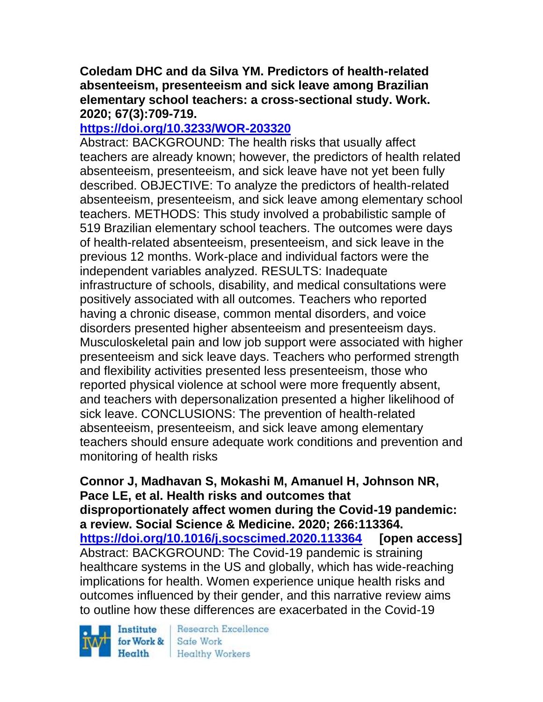### **Coledam DHC and da Silva YM. Predictors of health-related absenteeism, presenteeism and sick leave among Brazilian elementary school teachers: a cross-sectional study. Work. 2020; 67(3):709-719.**

### **<https://doi.org/10.3233/WOR-203320>**

Abstract: BACKGROUND: The health risks that usually affect teachers are already known; however, the predictors of health related absenteeism, presenteeism, and sick leave have not yet been fully described. OBJECTIVE: To analyze the predictors of health-related absenteeism, presenteeism, and sick leave among elementary school teachers. METHODS: This study involved a probabilistic sample of 519 Brazilian elementary school teachers. The outcomes were days of health-related absenteeism, presenteeism, and sick leave in the previous 12 months. Work-place and individual factors were the independent variables analyzed. RESULTS: Inadequate infrastructure of schools, disability, and medical consultations were positively associated with all outcomes. Teachers who reported having a chronic disease, common mental disorders, and voice disorders presented higher absenteeism and presenteeism days. Musculoskeletal pain and low job support were associated with higher presenteeism and sick leave days. Teachers who performed strength and flexibility activities presented less presenteeism, those who reported physical violence at school were more frequently absent, and teachers with depersonalization presented a higher likelihood of sick leave. CONCLUSIONS: The prevention of health-related absenteeism, presenteeism, and sick leave among elementary teachers should ensure adequate work conditions and prevention and monitoring of health risks

**Connor J, Madhavan S, Mokashi M, Amanuel H, Johnson NR, Pace LE, et al. Health risks and outcomes that disproportionately affect women during the Covid-19 pandemic: a review. Social Science & Medicine. 2020; 266:113364. <https://doi.org/10.1016/j.socscimed.2020.113364> [open access]** Abstract: BACKGROUND: The Covid-19 pandemic is straining healthcare systems in the US and globally, which has wide-reaching implications for health. Women experience unique health risks and outcomes influenced by their gender, and this narrative review aims to outline how these differences are exacerbated in the Covid-19

Institute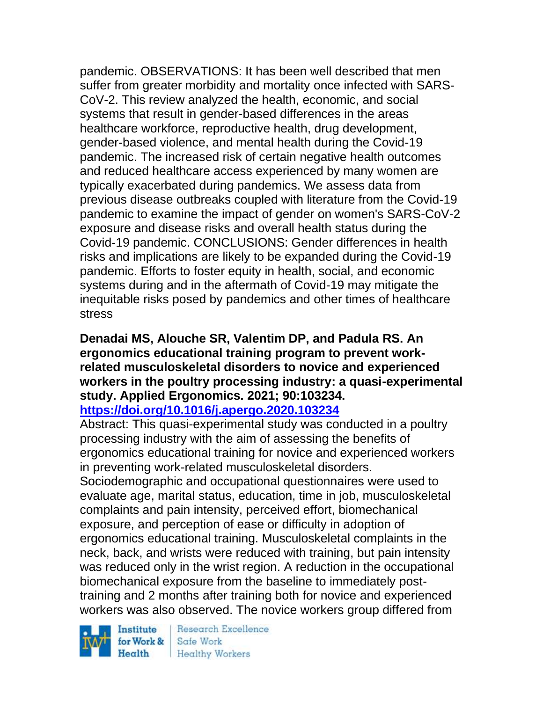pandemic. OBSERVATIONS: It has been well described that men suffer from greater morbidity and mortality once infected with SARS-CoV-2. This review analyzed the health, economic, and social systems that result in gender-based differences in the areas healthcare workforce, reproductive health, drug development, gender-based violence, and mental health during the Covid-19 pandemic. The increased risk of certain negative health outcomes and reduced healthcare access experienced by many women are typically exacerbated during pandemics. We assess data from previous disease outbreaks coupled with literature from the Covid-19 pandemic to examine the impact of gender on women's SARS-CoV-2 exposure and disease risks and overall health status during the Covid-19 pandemic. CONCLUSIONS: Gender differences in health risks and implications are likely to be expanded during the Covid-19 pandemic. Efforts to foster equity in health, social, and economic systems during and in the aftermath of Covid-19 may mitigate the inequitable risks posed by pandemics and other times of healthcare stress

#### **Denadai MS, Alouche SR, Valentim DP, and Padula RS. An ergonomics educational training program to prevent workrelated musculoskeletal disorders to novice and experienced workers in the poultry processing industry: a quasi-experimental study. Applied Ergonomics. 2021; 90:103234. <https://doi.org/10.1016/j.apergo.2020.103234>**

Abstract: This quasi-experimental study was conducted in a poultry processing industry with the aim of assessing the benefits of ergonomics educational training for novice and experienced workers in preventing work-related musculoskeletal disorders.

Sociodemographic and occupational questionnaires were used to evaluate age, marital status, education, time in job, musculoskeletal complaints and pain intensity, perceived effort, biomechanical exposure, and perception of ease or difficulty in adoption of ergonomics educational training. Musculoskeletal complaints in the neck, back, and wrists were reduced with training, but pain intensity was reduced only in the wrist region. A reduction in the occupational biomechanical exposure from the baseline to immediately posttraining and 2 months after training both for novice and experienced workers was also observed. The novice workers group differed from

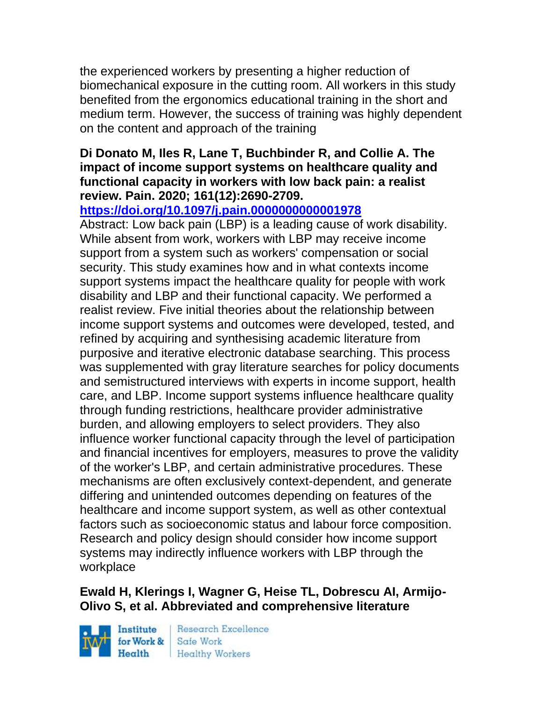the experienced workers by presenting a higher reduction of biomechanical exposure in the cutting room. All workers in this study benefited from the ergonomics educational training in the short and medium term. However, the success of training was highly dependent on the content and approach of the training

#### **Di Donato M, Iles R, Lane T, Buchbinder R, and Collie A. The impact of income support systems on healthcare quality and functional capacity in workers with low back pain: a realist review. Pain. 2020; 161(12):2690-2709.**

### **<https://doi.org/10.1097/j.pain.0000000000001978>**

Abstract: Low back pain (LBP) is a leading cause of work disability. While absent from work, workers with LBP may receive income support from a system such as workers' compensation or social security. This study examines how and in what contexts income support systems impact the healthcare quality for people with work disability and LBP and their functional capacity. We performed a realist review. Five initial theories about the relationship between income support systems and outcomes were developed, tested, and refined by acquiring and synthesising academic literature from purposive and iterative electronic database searching. This process was supplemented with gray literature searches for policy documents and semistructured interviews with experts in income support, health care, and LBP. Income support systems influence healthcare quality through funding restrictions, healthcare provider administrative burden, and allowing employers to select providers. They also influence worker functional capacity through the level of participation and financial incentives for employers, measures to prove the validity of the worker's LBP, and certain administrative procedures. These mechanisms are often exclusively context-dependent, and generate differing and unintended outcomes depending on features of the healthcare and income support system, as well as other contextual factors such as socioeconomic status and labour force composition. Research and policy design should consider how income support systems may indirectly influence workers with LBP through the workplace

# **Ewald H, Klerings I, Wagner G, Heise TL, Dobrescu AI, Armijo-Olivo S, et al. Abbreviated and comprehensive literature**

Institute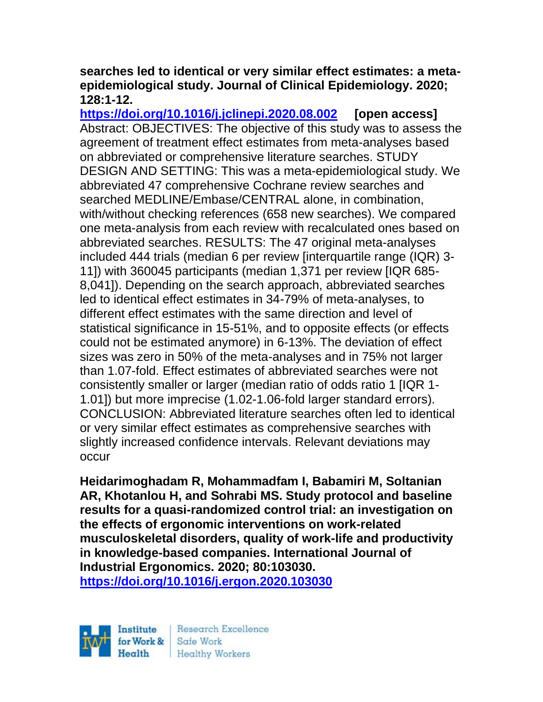#### **searches led to identical or very similar effect estimates: a metaepidemiological study. Journal of Clinical Epidemiology. 2020; 128:1-12.**

**<https://doi.org/10.1016/j.jclinepi.2020.08.002> [open access]** Abstract: OBJECTIVES: The objective of this study was to assess the agreement of treatment effect estimates from meta-analyses based on abbreviated or comprehensive literature searches. STUDY DESIGN AND SETTING: This was a meta-epidemiological study. We abbreviated 47 comprehensive Cochrane review searches and searched MEDLINE/Embase/CENTRAL alone, in combination, with/without checking references (658 new searches). We compared one meta-analysis from each review with recalculated ones based on abbreviated searches. RESULTS: The 47 original meta-analyses included 444 trials (median 6 per review [interquartile range (IQR) 3- 11]) with 360045 participants (median 1,371 per review [IQR 685- 8,041]). Depending on the search approach, abbreviated searches led to identical effect estimates in 34-79% of meta-analyses, to different effect estimates with the same direction and level of statistical significance in 15-51%, and to opposite effects (or effects could not be estimated anymore) in 6-13%. The deviation of effect sizes was zero in 50% of the meta-analyses and in 75% not larger than 1.07-fold. Effect estimates of abbreviated searches were not consistently smaller or larger (median ratio of odds ratio 1 [IQR 1- 1.01]) but more imprecise (1.02-1.06-fold larger standard errors). CONCLUSION: Abbreviated literature searches often led to identical or very similar effect estimates as comprehensive searches with slightly increased confidence intervals. Relevant deviations may occur

**Heidarimoghadam R, Mohammadfam I, Babamiri M, Soltanian AR, Khotanlou H, and Sohrabi MS. Study protocol and baseline results for a quasi-randomized control trial: an investigation on the effects of ergonomic interventions on work-related musculoskeletal disorders, quality of work-life and productivity in knowledge-based companies. International Journal of Industrial Ergonomics. 2020; 80:103030.**

**<https://doi.org/10.1016/j.ergon.2020.103030>** 

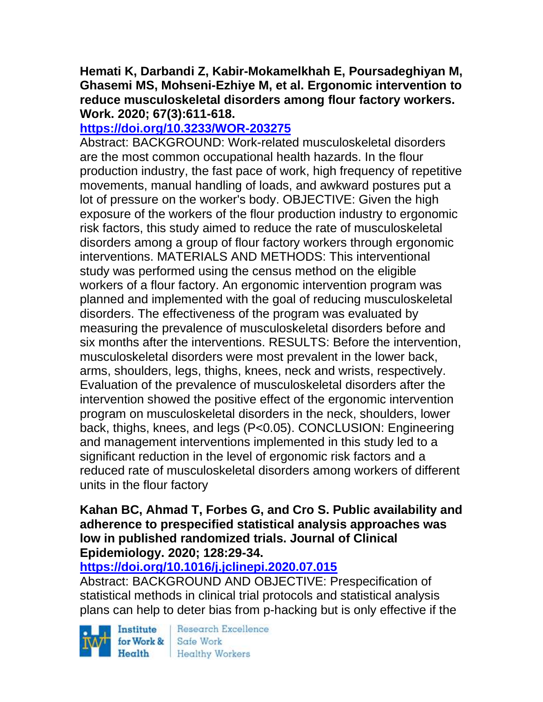### **Hemati K, Darbandi Z, Kabir-Mokamelkhah E, Poursadeghiyan M, Ghasemi MS, Mohseni-Ezhiye M, et al. Ergonomic intervention to reduce musculoskeletal disorders among flour factory workers. Work. 2020; 67(3):611-618.**

# **<https://doi.org/10.3233/WOR-203275>**

Abstract: BACKGROUND: Work-related musculoskeletal disorders are the most common occupational health hazards. In the flour production industry, the fast pace of work, high frequency of repetitive movements, manual handling of loads, and awkward postures put a lot of pressure on the worker's body. OBJECTIVE: Given the high exposure of the workers of the flour production industry to ergonomic risk factors, this study aimed to reduce the rate of musculoskeletal disorders among a group of flour factory workers through ergonomic interventions. MATERIALS AND METHODS: This interventional study was performed using the census method on the eligible workers of a flour factory. An ergonomic intervention program was planned and implemented with the goal of reducing musculoskeletal disorders. The effectiveness of the program was evaluated by measuring the prevalence of musculoskeletal disorders before and six months after the interventions. RESULTS: Before the intervention, musculoskeletal disorders were most prevalent in the lower back, arms, shoulders, legs, thighs, knees, neck and wrists, respectively. Evaluation of the prevalence of musculoskeletal disorders after the intervention showed the positive effect of the ergonomic intervention program on musculoskeletal disorders in the neck, shoulders, lower back, thighs, knees, and legs (P<0.05). CONCLUSION: Engineering and management interventions implemented in this study led to a significant reduction in the level of ergonomic risk factors and a reduced rate of musculoskeletal disorders among workers of different units in the flour factory

#### **Kahan BC, Ahmad T, Forbes G, and Cro S. Public availability and adherence to prespecified statistical analysis approaches was low in published randomized trials. Journal of Clinical Epidemiology. 2020; 128:29-34.**

# **<https://doi.org/10.1016/j.jclinepi.2020.07.015>**

Abstract: BACKGROUND AND OBJECTIVE: Prespecification of statistical methods in clinical trial protocols and statistical analysis plans can help to deter bias from p-hacking but is only effective if the

Institute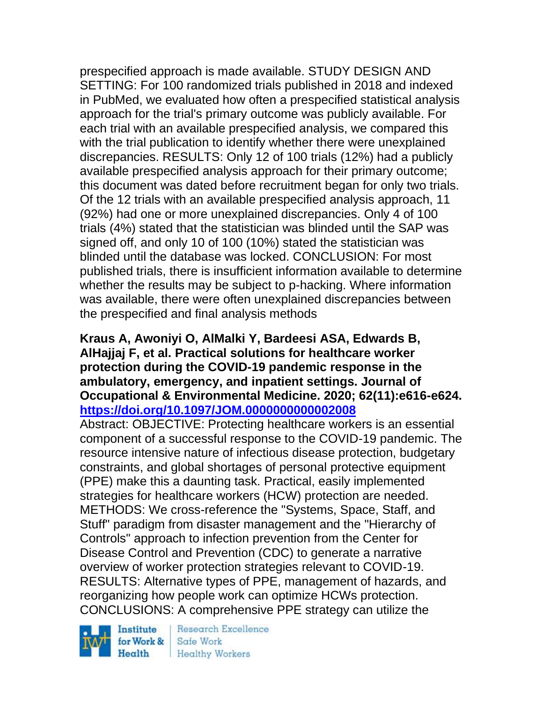prespecified approach is made available. STUDY DESIGN AND SETTING: For 100 randomized trials published in 2018 and indexed in PubMed, we evaluated how often a prespecified statistical analysis approach for the trial's primary outcome was publicly available. For each trial with an available prespecified analysis, we compared this with the trial publication to identify whether there were unexplained discrepancies. RESULTS: Only 12 of 100 trials (12%) had a publicly available prespecified analysis approach for their primary outcome; this document was dated before recruitment began for only two trials. Of the 12 trials with an available prespecified analysis approach, 11 (92%) had one or more unexplained discrepancies. Only 4 of 100 trials (4%) stated that the statistician was blinded until the SAP was signed off, and only 10 of 100 (10%) stated the statistician was blinded until the database was locked. CONCLUSION: For most published trials, there is insufficient information available to determine whether the results may be subject to p-hacking. Where information was available, there were often unexplained discrepancies between the prespecified and final analysis methods

#### **Kraus A, Awoniyi O, AlMalki Y, Bardeesi ASA, Edwards B, AlHajjaj F, et al. Practical solutions for healthcare worker protection during the COVID-19 pandemic response in the ambulatory, emergency, and inpatient settings. Journal of Occupational & Environmental Medicine. 2020; 62(11):e616-e624. <https://doi.org/10.1097/JOM.0000000000002008>**

Abstract: OBJECTIVE: Protecting healthcare workers is an essential component of a successful response to the COVID-19 pandemic. The resource intensive nature of infectious disease protection, budgetary constraints, and global shortages of personal protective equipment (PPE) make this a daunting task. Practical, easily implemented strategies for healthcare workers (HCW) protection are needed. METHODS: We cross-reference the "Systems, Space, Staff, and Stuff" paradigm from disaster management and the "Hierarchy of Controls" approach to infection prevention from the Center for Disease Control and Prevention (CDC) to generate a narrative overview of worker protection strategies relevant to COVID-19. RESULTS: Alternative types of PPE, management of hazards, and reorganizing how people work can optimize HCWs protection. CONCLUSIONS: A comprehensive PPE strategy can utilize the

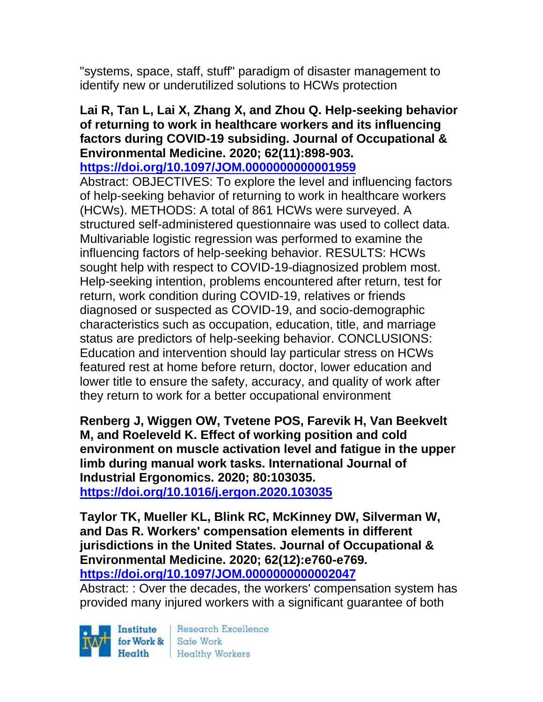"systems, space, staff, stuff" paradigm of disaster management to identify new or underutilized solutions to HCWs protection

### **Lai R, Tan L, Lai X, Zhang X, and Zhou Q. Help-seeking behavior of returning to work in healthcare workers and its influencing factors during COVID-19 subsiding. Journal of Occupational & Environmental Medicine. 2020; 62(11):898-903.**

**<https://doi.org/10.1097/JOM.0000000000001959>** 

Abstract: OBJECTIVES: To explore the level and influencing factors of help-seeking behavior of returning to work in healthcare workers (HCWs). METHODS: A total of 861 HCWs were surveyed. A structured self-administered questionnaire was used to collect data. Multivariable logistic regression was performed to examine the influencing factors of help-seeking behavior. RESULTS: HCWs sought help with respect to COVID-19-diagnosized problem most. Help-seeking intention, problems encountered after return, test for return, work condition during COVID-19, relatives or friends diagnosed or suspected as COVID-19, and socio-demographic characteristics such as occupation, education, title, and marriage status are predictors of help-seeking behavior. CONCLUSIONS: Education and intervention should lay particular stress on HCWs featured rest at home before return, doctor, lower education and lower title to ensure the safety, accuracy, and quality of work after they return to work for a better occupational environment

**Renberg J, Wiggen OW, Tvetene POS, Farevik H, Van Beekvelt M, and Roeleveld K. Effect of working position and cold environment on muscle activation level and fatigue in the upper limb during manual work tasks. International Journal of Industrial Ergonomics. 2020; 80:103035. <https://doi.org/10.1016/j.ergon.2020.103035>** 

**Taylor TK, Mueller KL, Blink RC, McKinney DW, Silverman W, and Das R. Workers' compensation elements in different jurisdictions in the United States. Journal of Occupational & Environmental Medicine. 2020; 62(12):e760-e769. <https://doi.org/10.1097/JOM.0000000000002047>** 

Abstract: : Over the decades, the workers' compensation system has provided many injured workers with a significant guarantee of both

Institute for Work & Safe Work

Research Excellence Health Healthy Workers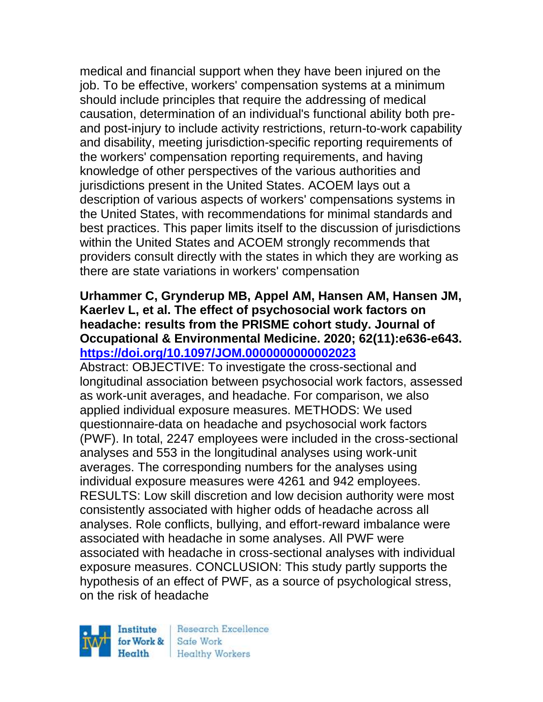medical and financial support when they have been injured on the job. To be effective, workers' compensation systems at a minimum should include principles that require the addressing of medical causation, determination of an individual's functional ability both preand post-injury to include activity restrictions, return-to-work capability and disability, meeting jurisdiction-specific reporting requirements of the workers' compensation reporting requirements, and having knowledge of other perspectives of the various authorities and jurisdictions present in the United States. ACOEM lays out a description of various aspects of workers' compensations systems in the United States, with recommendations for minimal standards and best practices. This paper limits itself to the discussion of jurisdictions within the United States and ACOEM strongly recommends that providers consult directly with the states in which they are working as there are state variations in workers' compensation

### **Urhammer C, Grynderup MB, Appel AM, Hansen AM, Hansen JM, Kaerlev L, et al. The effect of psychosocial work factors on headache: results from the PRISME cohort study. Journal of Occupational & Environmental Medicine. 2020; 62(11):e636-e643. <https://doi.org/10.1097/JOM.0000000000002023>**

Abstract: OBJECTIVE: To investigate the cross-sectional and longitudinal association between psychosocial work factors, assessed as work-unit averages, and headache. For comparison, we also applied individual exposure measures. METHODS: We used questionnaire-data on headache and psychosocial work factors (PWF). In total, 2247 employees were included in the cross-sectional analyses and 553 in the longitudinal analyses using work-unit averages. The corresponding numbers for the analyses using individual exposure measures were 4261 and 942 employees. RESULTS: Low skill discretion and low decision authority were most consistently associated with higher odds of headache across all analyses. Role conflicts, bullying, and effort-reward imbalance were associated with headache in some analyses. All PWF were associated with headache in cross-sectional analyses with individual exposure measures. CONCLUSION: This study partly supports the hypothesis of an effect of PWF, as a source of psychological stress, on the risk of headache

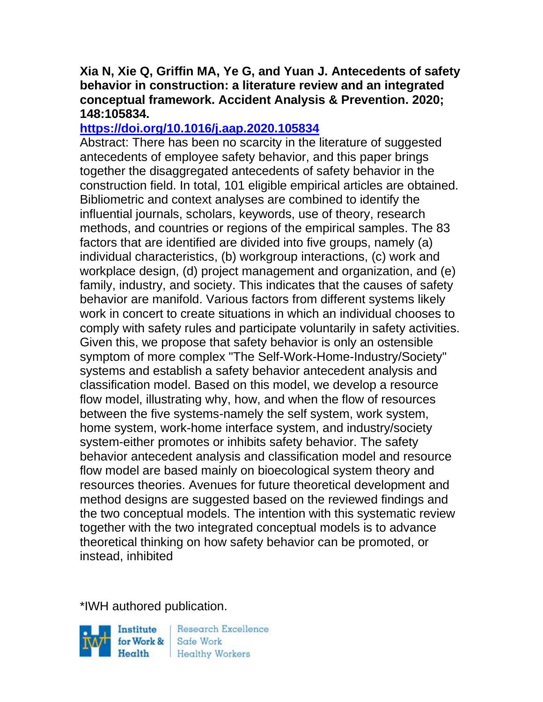### **Xia N, Xie Q, Griffin MA, Ye G, and Yuan J. Antecedents of safety behavior in construction: a literature review and an integrated conceptual framework. Accident Analysis & Prevention. 2020; 148:105834.**

# **<https://doi.org/10.1016/j.aap.2020.105834>**

Abstract: There has been no scarcity in the literature of suggested antecedents of employee safety behavior, and this paper brings together the disaggregated antecedents of safety behavior in the construction field. In total, 101 eligible empirical articles are obtained. Bibliometric and context analyses are combined to identify the influential journals, scholars, keywords, use of theory, research methods, and countries or regions of the empirical samples. The 83 factors that are identified are divided into five groups, namely (a) individual characteristics, (b) workgroup interactions, (c) work and workplace design, (d) project management and organization, and (e) family, industry, and society. This indicates that the causes of safety behavior are manifold. Various factors from different systems likely work in concert to create situations in which an individual chooses to comply with safety rules and participate voluntarily in safety activities. Given this, we propose that safety behavior is only an ostensible symptom of more complex "The Self-Work-Home-Industry/Society" systems and establish a safety behavior antecedent analysis and classification model. Based on this model, we develop a resource flow model, illustrating why, how, and when the flow of resources between the five systems-namely the self system, work system, home system, work-home interface system, and industry/society system-either promotes or inhibits safety behavior. The safety behavior antecedent analysis and classification model and resource flow model are based mainly on bioecological system theory and resources theories. Avenues for future theoretical development and method designs are suggested based on the reviewed findings and the two conceptual models. The intention with this systematic review together with the two integrated conceptual models is to advance theoretical thinking on how safety behavior can be promoted, or instead, inhibited

\*IWH authored publication.